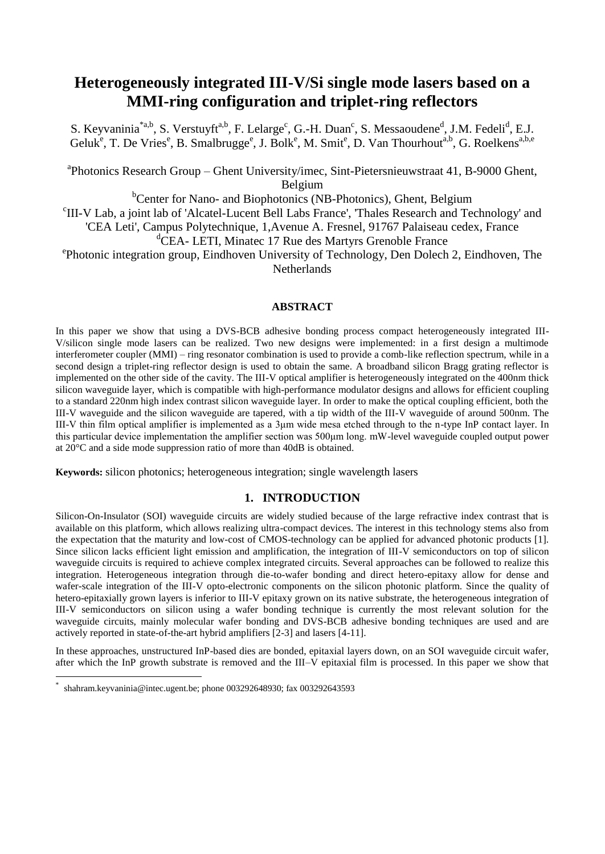# **Heterogeneously integrated III-V/Si single mode lasers based on a MMI-ring configuration and triplet-ring reflectors**

S. Keyvaninia<sup>\*a,b</sup>, S. Verstuyft<sup>a,b</sup>, F. Lelarge<sup>c</sup>, G.-H. Duan<sup>c</sup>, S. Messaoudene<sup>d</sup>, J.M. Fedeli<sup>d</sup>, E.J. Geluk<sup>e</sup>, T. De Vries<sup>e</sup>, B. Smalbrugge<sup>e</sup>, J. Bolk<sup>e</sup>, M. Smit<sup>e</sup>, D. Van Thourhout<sup>a,b</sup>, G. Roelkens<sup>a,b,e</sup>

<sup>a</sup>Photonics Research Group – Ghent University/imec, Sint-Pietersnieuwstraat 41, B-9000 Ghent, Belgium

<sup>b</sup>Center for Nano- and Biophotonics (NB-Photonics), Ghent, Belgium

c III-V Lab, a joint lab of 'Alcatel-Lucent Bell Labs France', 'Thales Research and Technology' and

'CEA Leti', Campus Polytechnique, 1,Avenue A. Fresnel, 91767 Palaiseau cedex, France

<sup>d</sup>CEA- LETI, Minatec 17 Rue des Martyrs Grenoble France

e Photonic integration group, Eindhoven University of Technology, Den Dolech 2, Eindhoven, The Netherlands

## **ABSTRACT**

In this paper we show that using a DVS-BCB adhesive bonding process compact heterogeneously integrated III-V/silicon single mode lasers can be realized. Two new designs were implemented: in a first design a multimode interferometer coupler (MMI) – ring resonator combination is used to provide a comb-like reflection spectrum, while in a second design a triplet-ring reflector design is used to obtain the same. A broadband silicon Bragg grating reflector is implemented on the other side of the cavity. The III-V optical amplifier is heterogeneously integrated on the 400nm thick silicon waveguide layer, which is compatible with high-performance modulator designs and allows for efficient coupling to a standard 220nm high index contrast silicon waveguide layer. In order to make the optical coupling efficient, both the III-V waveguide and the silicon waveguide are tapered, with a tip width of the III-V waveguide of around 500nm. The III-V thin film optical amplifier is implemented as a 3μm wide mesa etched through to the n-type InP contact layer. In this particular device implementation the amplifier section was 500μm long. mW-level waveguide coupled output power at 20°C and a side mode suppression ratio of more than 40dB is obtained.

**Keywords:** silicon photonics; heterogeneous integration; single wavelength lasers

# **1. INTRODUCTION**

Silicon-On-Insulator (SOI) waveguide circuits are widely studied because of the large refractive index contrast that is available on this platform, which allows realizing ultra-compact devices. The interest in this technology stems also from the expectation that the maturity and low-cost of CMOS-technology can be applied for advanced photonic products [1]. Since silicon lacks efficient light emission and amplification, the integration of III-V semiconductors on top of silicon waveguide circuits is required to achieve complex integrated circuits. Several approaches can be followed to realize this integration. Heterogeneous integration through die-to-wafer bonding and direct hetero-epitaxy allow for dense and wafer-scale integration of the III-V opto-electronic components on the silicon photonic platform. Since the quality of hetero-epitaxially grown layers is inferior to III-V epitaxy grown on its native substrate, the heterogeneous integration of III-V semiconductors on silicon using a wafer bonding technique is currently the most relevant solution for the waveguide circuits, mainly molecular wafer bonding and DVS-BCB adhesive bonding techniques are used and are actively reported in state-of-the-art hybrid amplifiers [2-3] and lasers [4-11].

In these approaches, unstructured InP-based dies are bonded, epitaxial layers down, on an SOI waveguide circuit wafer, after which the InP growth substrate is removed and the III–V epitaxial film is processed. In this paper we show that

<u>.</u>

<sup>\*</sup> shahram.keyvaninia@intec.ugent.be; phone 003292648930; fax 003292643593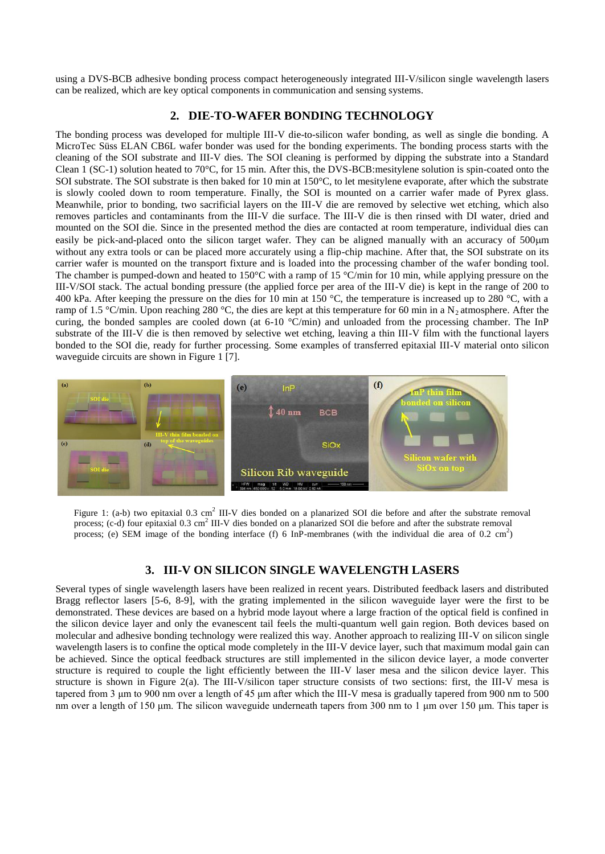using a DVS-BCB adhesive bonding process compact heterogeneously integrated III-V/silicon single wavelength lasers can be realized, which are key optical components in communication and sensing systems.

## **2. DIE-TO-WAFER BONDING TECHNOLOGY**

The bonding process was developed for multiple III-V die-to-silicon wafer bonding, as well as single die bonding. A MicroTec Süss ELAN CB6L wafer bonder was used for the bonding experiments. The bonding process starts with the cleaning of the SOI substrate and III-V dies. The SOI cleaning is performed by dipping the substrate into a Standard Clean  $\overline{1}$  (SC-1) solution heated to 70°C, for 15 min. After this, the DVS-BCB:mesitylene solution is spin-coated onto the SOI substrate. The SOI substrate is then baked for 10 min at 150°C, to let mesitylene evaporate, after which the substrate is slowly cooled down to room temperature. Finally, the SOI is mounted on a carrier wafer made of Pyrex glass. Meanwhile, prior to bonding, two sacrificial layers on the III-V die are removed by selective wet etching, which also removes particles and contaminants from the III-V die surface. The III-V die is then rinsed with DI water, dried and mounted on the SOI die. Since in the presented method the dies are contacted at room temperature, individual dies can easily be pick-and-placed onto the silicon target wafer. They can be aligned manually with an accuracy of 500 $\mu$ m without any extra tools or can be placed more accurately using a flip-chip machine. After that, the SOI substrate on its carrier wafer is mounted on the transport fixture and is loaded into the processing chamber of the wafer bonding tool. The chamber is pumped-down and heated to 150 $\degree$ C with a ramp of 15  $\degree$ C/min for 10 min, while applying pressure on the III-V/SOI stack. The actual bonding pressure (the applied force per area of the III-V die) is kept in the range of 200 to 400 kPa. After keeping the pressure on the dies for 10 min at 150 °C, the temperature is increased up to 280 °C, with a ramp of 1.5 °C/min. Upon reaching 280 °C, the dies are kept at this temperature for 60 min in a N<sub>2</sub> atmosphere. After the curing, the bonded samples are cooled down (at  $6\t{-}10$  °C/min) and unloaded from the processing chamber. The InP substrate of the III-V die is then removed by selective wet etching, leaving a thin III-V film with the functional layers bonded to the SOI die, ready for further processing. Some examples of transferred epitaxial III-V material onto silicon waveguide circuits are shown in Figure 1 [7].



Figure 1: (a-b) two epitaxial  $0.3 \text{ cm}^2$  III-V dies bonded on a planarized SOI die before and after the substrate removal process; (c-d) four epitaxial 0.3 cm<sup>2</sup> III-V dies bonded on a planarized SOI die before and after the substrate removal process; (e) SEM image of the bonding interface (f)  $6 \text{ InP-membranes}$  (with the individual die area of 0.2 cm<sup>2</sup>)

## **3. III-V ON SILICON SINGLE WAVELENGTH LASERS**

Several types of single wavelength lasers have been realized in recent years. Distributed feedback lasers and distributed Bragg reflector lasers [5-6, 8-9], with the grating implemented in the silicon waveguide layer were the first to be demonstrated. These devices are based on a hybrid mode layout where a large fraction of the optical field is confined in the silicon device layer and only the evanescent tail feels the multi-quantum well gain region. Both devices based on molecular and adhesive bonding technology were realized this way. Another approach to realizing III-V on silicon single wavelength lasers is to confine the optical mode completely in the III-V device layer, such that maximum modal gain can be achieved. Since the optical feedback structures are still implemented in the silicon device layer, a mode converter structure is required to couple the light efficiently between the III-V laser mesa and the silicon device layer. This structure is shown in Figure 2(a). The III-V/silicon taper structure consists of two sections: first, the III-V mesa is tapered from 3 μm to 900 nm over a length of 45 μm after which the III-V mesa is gradually tapered from 900 nm to 500 nm over a length of 150 μm. The silicon waveguide underneath tapers from 300 nm to 1 μm over 150 μm. This taper is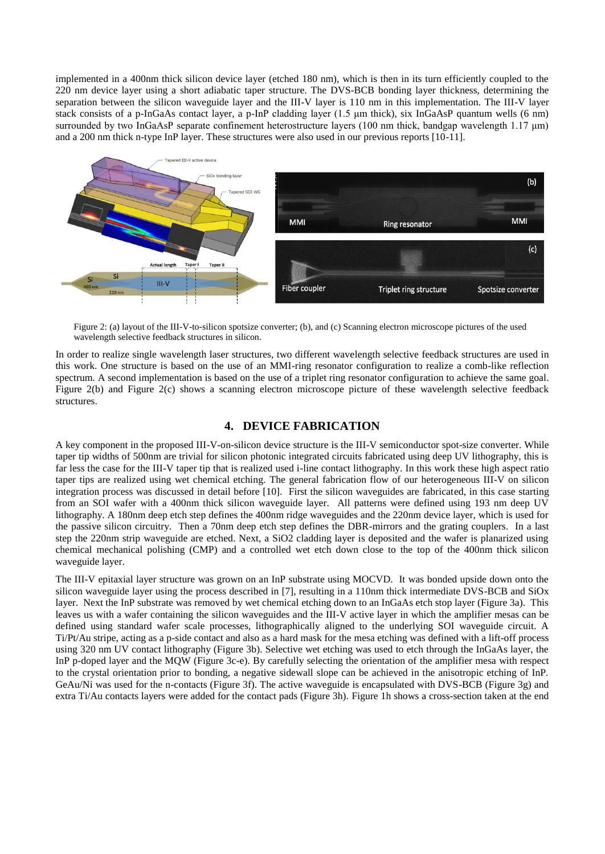implemented in a 400nm thick silicon device layer (etched 180 nm), which is then in its turn efficiently coupled to the 220 nm device layer using a short adiabatic taper structure. The DVS-BCB bonding layer thickness, determining the separation between the silicon waveguide layer and the III-V layer is 110 nm in this implementation. The III-V layer stack consists of a p-InGaAs contact layer, a p-InP cladding layer (1.5 um thick), six InGaAsP quantum wells (6 nm) surrounded by two InGaAsP separate confinement heterostructure layers (100 nm thick, bandgap wavelength 1.17 μm) and a 200 nm thick n-type InP layer. These structures were also used in our previous reports [10-11].



Figure 2: (a) layout of the III-V-to-silicon spotsize converter; (b), and (c) Scanning electron microscope pictures of the used wavelength selective feedback structures in silicon.

In order to realize single wavelength laser structures, two different wavelength selective feedback structures are used in this work. One structure is based on the use of an MMI-ring resonator configuration to realize a comb-like reflection spectrum. A second implementation is based on the use of a triplet ring resonator configuration to achieve the same goal. Figure 2(b) and Figure 2(c) shows a scanning electron microscope picture of these wavelength selective feedback structures.

## **4. DEVICE FABRICATION**

A key component in the proposed III-V-on-silicon device structure is the III-V semiconductor spot-size converter. While taper tip widths of 500nm are trivial for silicon photonic integrated circuits fabricated using deep UV lithography, this is far less the case for the III-V taper tip that is realized used i-line contact lithography. In this work these high aspect ratio taper tips are realized using wet chemical etching. The general fabrication flow of our heterogeneous III-V on silicon integration process was discussed in detail before [10]. First the silicon waveguides are fabricated, in this case starting from an SOI wafer with a 400nm thick silicon waveguide layer. All patterns were defined using 193 nm deep UV lithography. A 180nm deep etch step defines the 400nm ridge waveguides and the 220nm device layer, which is used for the passive silicon circuitry. Then a 70nm deep etch step defines the DBR-mirrors and the grating couplers. In a last step the 220nm strip waveguide are etched. Next, a SiO2 cladding layer is deposited and the wafer is planarized using chemical mechanical polishing (CMP) and a controlled wet etch down close to the top of the 400nm thick silicon waveguide layer.

The III-V epitaxial layer structure was grown on an InP substrate using MOCVD. It was bonded upside down onto the silicon waveguide layer using the process described in [7], resulting in a 110nm thick intermediate DVS-BCB and SiOx layer. Next the InP substrate was removed by wet chemical etching down to an InGaAs etch stop layer (Figure 3a). This leaves us with a wafer containing the silicon waveguides and the III-V active layer in which the amplifier mesas can be defined using standard wafer scale processes, lithographically aligned to the underlying SOI waveguide circuit. A Ti/Pt/Au stripe, acting as a p-side contact and also as a hard mask for the mesa etching was defined with a lift-off process using 320 nm UV contact lithography (Figure 3b). Selective wet etching was used to etch through the InGaAs layer, the InP p-doped layer and the MQW (Figure 3c-e). By carefully selecting the orientation of the amplifier mesa with respect to the crystal orientation prior to bonding, a negative sidewall slope can be achieved in the anisotropic etching of InP. GeAu/Ni was used for the n-contacts (Figure 3f). The active waveguide is encapsulated with DVS-BCB (Figure 3g) and extra Ti/Au contacts layers were added for the contact pads (Figure 3h). Figure 1h shows a cross-section taken at the end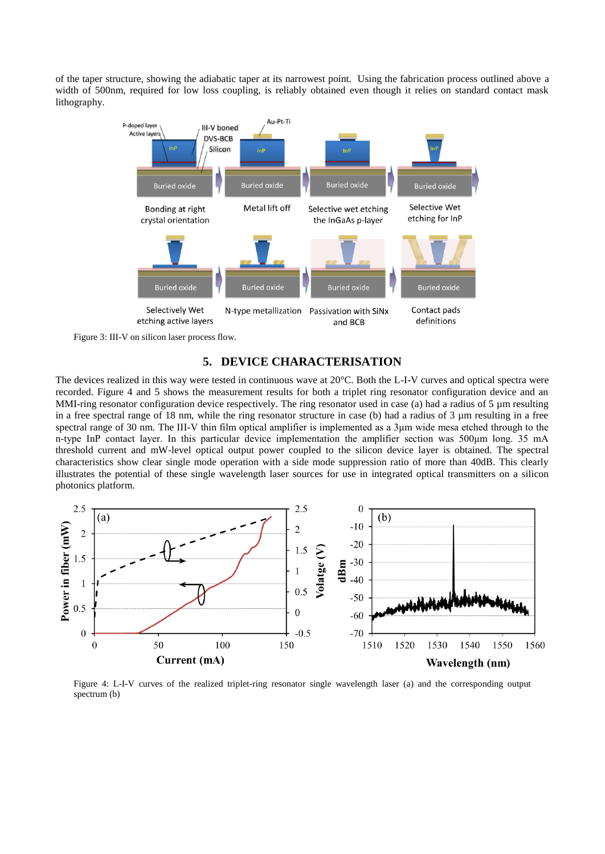of the taper structure, showing the adiabatic taper at its narrowest point. Using the fabrication process outlined above a width of 500nm, required for low loss coupling, is reliably obtained even though it relies on standard contact mask lithography.





### **5. DEVICE CHARACTERISATION**

The devices realized in this way were tested in continuous wave at 20°C. Both the L-I-V curves and optical spectra were recorded. Figure 4 and 5 shows the measurement results for both a triplet ring resonator configuration device and an MMI-ring resonator configuration device respectively. The ring resonator used in case (a) had a radius of 5  $\mu$ m resulting in a free spectral range of 18 nm, while the ring resonator structure in case (b) had a radius of 3 µm resulting in a free spectral range of 30 nm. The III-V thin film optical amplifier is implemented as a 3um wide mesa etched through to the n-type InP contact layer. In this particular device implementation the amplifier section was 500μm long. 35 mA threshold current and mW-level optical output power coupled to the silicon device layer is obtained. The spectral characteristics show clear single mode operation with a side mode suppression ratio of more than 40dB. This clearly illustrates the potential of these single wavelength laser sources for use in integrated optical transmitters on a silicon photonics platform.



Figure 4: L-I-V curves of the realized triplet-ring resonator single wavelength laser (a) and the corresponding output spectrum (b)